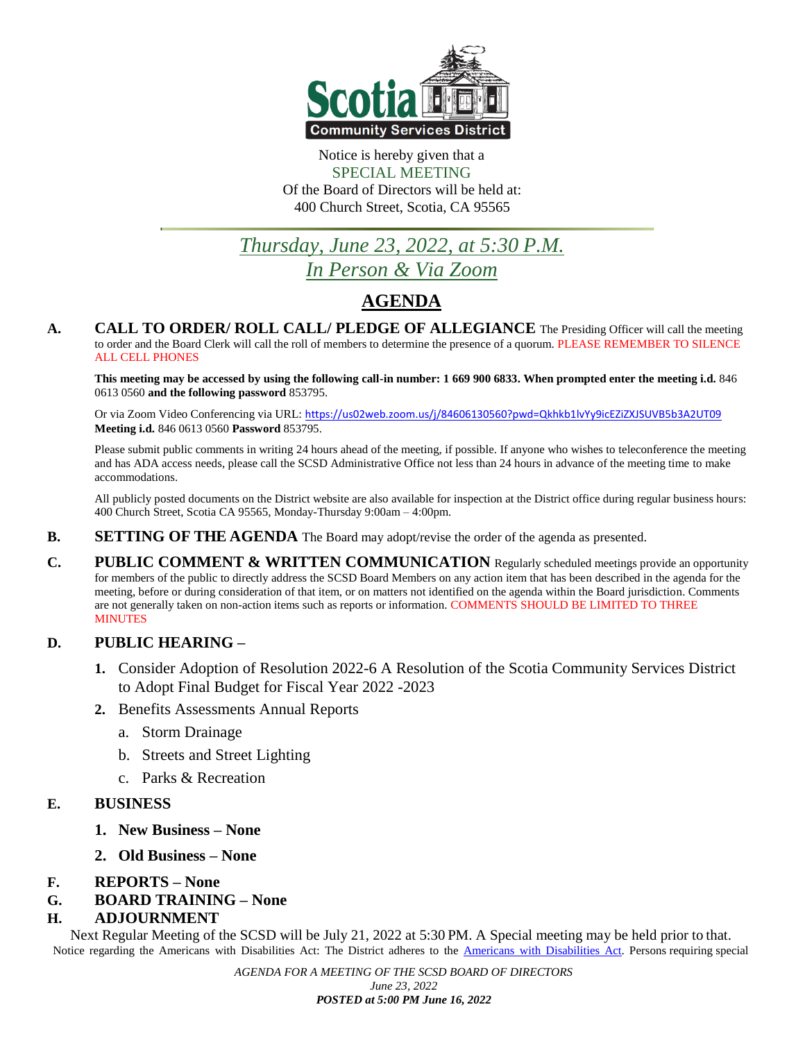

#### Notice is hereby given that a SPECIAL MEETING Of the Board of Directors will be held at: 400 Church Street, Scotia, CA 95565

# *Thursday, June 23, 2022, at 5:30 P.M. In Person & Via Zoom*

# **AGENDA**

**A. CALL TO ORDER/ ROLL CALL/ PLEDGE OF ALLEGIANCE** The Presiding Officer will call the meeting to order and the Board Clerk will call the roll of members to determine the presence of a quorum. PLEASE REMEMBER TO SILENCE ALL CELL PHONES

This meeting may be accessed by using the following call-in number: 1 669 900 6833. When prompted enter the meeting i.d. 846 0613 0560 **and the following password** 853795.

Or via Zoom Video Conferencing via URL: <https://us02web.zoom.us/j/84606130560?pwd=Qkhkb1lvYy9icEZiZXJSUVB5b3A2UT09> **Meeting i.d.** 846 0613 0560 **Password** 853795.

Please submit public comments in writing 24 hours ahead of the meeting, if possible. If anyone who wishes to teleconference the meeting and has ADA access needs, please call the SCSD Administrative Office not less than 24 hours in advance of the meeting time to make accommodations.

All publicly posted documents on the District website are also available for inspection at the District office during regular business hours: 400 Church Street, Scotia CA 95565, Monday-Thursday 9:00am – 4:00pm.

- **B. SETTING OF THE AGENDA** The Board may adopt/revise the order of the agenda as presented.
- **C. PUBLIC COMMENT & WRITTEN COMMUNICATION** Regularly scheduled meetings provide an opportunity for members of the public to directly address the SCSD Board Members on any action item that has been described in the agenda for the meeting, before or during consideration of that item, or on matters not identified on the agenda within the Board jurisdiction. Comments are not generally taken on non-action items such as reports or information. COMMENTS SHOULD BE LIMITED TO THREE MINUTES

# **D. PUBLIC HEARING –**

- **1.** Consider Adoption of Resolution 2022-6 A Resolution of the Scotia Community Services District to Adopt Final Budget for Fiscal Year 2022 -2023
- **2.** Benefits Assessments Annual Reports
	- a. Storm Drainage
	- b. Streets and Street Lighting
	- c. Parks & Recreation

## **E. BUSINESS**

- **1. New Business – None**
- **2. Old Business – None**
- **F. REPORTS – None**
- **G. BOARD TRAINING – None**

## **H. ADJOURNMENT**

Next Regular Meeting of the SCSD will be July 21, 2022 at 5:30 PM. A Special meeting may be held prior to that. Notice regarding the Americans with Disabilities Act: The District adheres to the Americans with [Disabilities](http://www.usdoj.gov/crt/ada/index.html) Act. Persons requiring special

> *AGENDA FOR A MEETING OF THE SCSD BOARD OF DIRECTORS June 23, 2022 POSTED at 5:00 PM June 16, 2022*